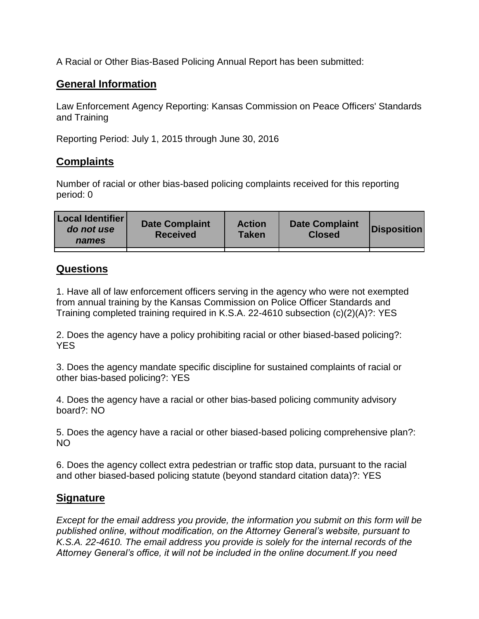A Racial or Other Bias-Based Policing Annual Report has been submitted:

## **General Information**

Law Enforcement Agency Reporting: Kansas Commission on Peace Officers' Standards and Training

Reporting Period: July 1, 2015 through June 30, 2016

## **Complaints**

Number of racial or other bias-based policing complaints received for this reporting period: 0

## **Questions**

1. Have all of law enforcement officers serving in the agency who were not exempted from annual training by the Kansas Commission on Police Officer Standards and Training completed training required in K.S.A. 22-4610 subsection (c)(2)(A)?: YES

2. Does the agency have a policy prohibiting racial or other biased-based policing?: YES

3. Does the agency mandate specific discipline for sustained complaints of racial or other bias-based policing?: YES

4. Does the agency have a racial or other bias-based policing community advisory board?: NO

5. Does the agency have a racial or other biased-based policing comprehensive plan?: NO

6. Does the agency collect extra pedestrian or traffic stop data, pursuant to the racial and other biased-based policing statute (beyond standard citation data)?: YES

## **Signature**

*Except for the email address you provide, the information you submit on this form will be published online, without modification, on the Attorney General's website, pursuant to K.S.A. 22-4610. The email address you provide is solely for the internal records of the Attorney General's office, it will not be included in the online document.If you need*